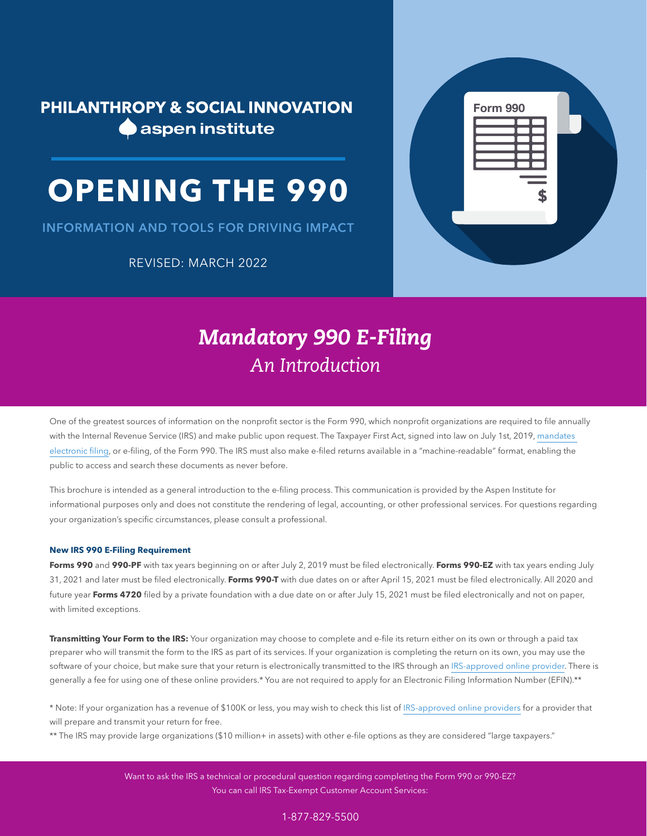**PHILANTHROPY & SOCIAL INNOVATION A** aspen institute

# **OPENING THE 990**

INFORMATION AND TOOLS FOR DRIVING IMPACT

REVISED: MARCH 2022



## *Mandatory 990 E-Filing An Introduction*

One of the greatest sources of information on the nonprofit sector is the Form 990, which nonprofit organizations are required to file annually with the Internal Revenue Service (IRS) and make public upon request. The Taxpayer First Act, signed into law on July 1st, 2019, [mandates](https://www.irs.gov/newsroom/irs-recent-legislation-requires-tax-exempt-organizations-to-e-file-forms)  [electronic filing,](https://www.irs.gov/newsroom/irs-recent-legislation-requires-tax-exempt-organizations-to-e-file-forms) or e-filing, of the Form 990. The IRS must also make e-filed returns available in a "machine-readable" format, enabling the public to access and search these documents as never before.

This brochure is intended as a general introduction to the e-filing process. This communication is provided by the Aspen Institute for informational purposes only and does not constitute the rendering of legal, accounting, or other professional services. For questions regarding your organization's specific circumstances, please consult a professional.

#### **New IRS 990 E-Filing Requirement**

**Forms 990** and **990-PF** with tax years beginning on or after July 2, 2019 must be filed electronically. **Forms 990-EZ** with tax years ending July 31, 2021 and later must be filed electronically. **Forms 990-T** with due dates on or after April 15, 2021 must be filed electronically. All 2020 and future year **Forms 4720** filed by a private foundation with a due date on or after July 15, 2021 must be filed electronically and not on paper, with limited exceptions.

**Transmitting Your Form to the IRS:** Your organization may choose to complete and e-file its return either on its own or through a paid tax preparer who will transmit the form to the IRS as part of its services. If your organization is completing the return on its own, you may use the software of your choice, but make sure that your return is electronically transmitted to the IRS through an [IRS-approved online provider](https://www.irs.gov/e-file-providers/exempt-organizations-mef-providers). There is generally a fee for using one of these online providers.\* You are not required to apply for an Electronic Filing Information Number (EFIN).\*\*

\* Note: If your organization has a revenue of \$100K or less, you may wish to check this list of [IRS-approved online providers](https://www.irs.gov/e-file-providers/exempt-organizations-mef-providers) for a provider that will prepare and transmit your return for free.

\*\* The IRS may provide large organizations (\$10 million+ in assets) with other e-file options as they are considered "large taxpayers."

Want to ask the IRS a technical or procedural question regarding completing the Form 990 or 990-EZ? You can call IRS Tax-Exempt Customer Account Services:

#### 1-877-829-5500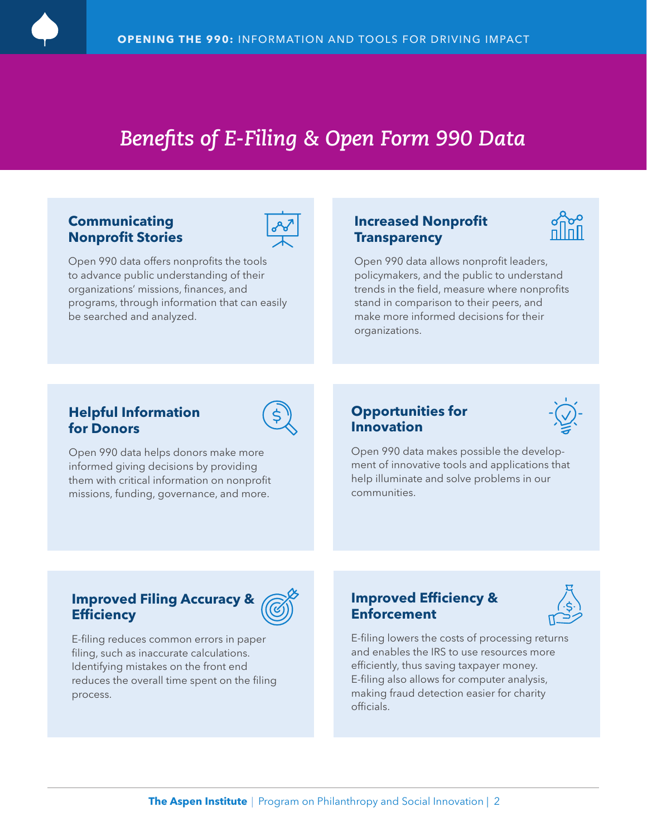

### *Benefits of E-Filing & Open Form 990 Data*

#### **Communicating Nonprofit Stories**



Open 990 data offers nonprofits the tools to advance public understanding of their organizations' missions, finances, and programs, through information that can easily be searched and analyzed.

#### **Increased Nonprofit Transparency**



Open 990 data allows nonprofit leaders, policymakers, and the public to understand trends in the field, measure where nonprofits stand in comparison to their peers, and make more informed decisions for their organizations.

#### **Helpful Information for Donors**



Open 990 data helps donors make more informed giving decisions by providing them with critical information on nonprofit missions, funding, governance, and more.

#### **Opportunities for Innovation**



Open 990 data makes possible the development of innovative tools and applications that help illuminate and solve problems in our communities.

#### **Improved Filing Accuracy & Efficiency**



E-filing reduces common errors in paper filing, such as inaccurate calculations. Identifying mistakes on the front end reduces the overall time spent on the filing process.

#### **Improved Efficiency & Enforcement**



E-filing lowers the costs of processing returns and enables the IRS to use resources more efficiently, thus saving taxpayer money. E-filing also allows for computer analysis, making fraud detection easier for charity officials.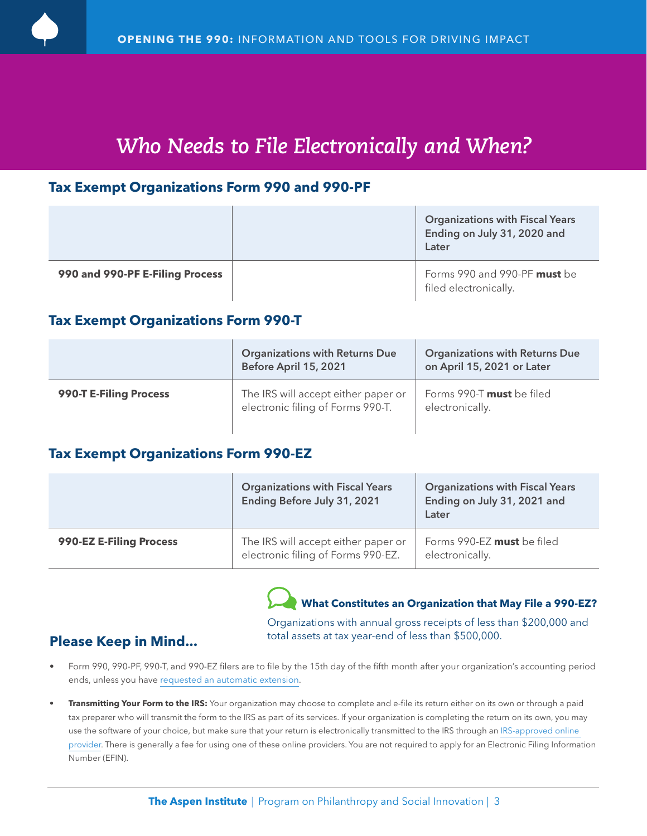

### *Who Needs to File Electronically and When?*

#### **Tax Exempt Organizations Form 990 and 990-PF**

|                                 | <b>Organizations with Fiscal Years</b><br>Ending on July 31, 2020 and<br>Later |
|---------------------------------|--------------------------------------------------------------------------------|
| 990 and 990-PF E-Filing Process | Forms 990 and 990-PF must be<br>filed electronically.                          |

#### **Tax Exempt Organizations Form 990-T**

|                        | <b>Organizations with Returns Due</b><br>Before April 15, 2021           | <b>Organizations with Returns Due</b><br>on April 15, 2021 or Later |
|------------------------|--------------------------------------------------------------------------|---------------------------------------------------------------------|
| 990-T E-Filing Process | The IRS will accept either paper or<br>electronic filing of Forms 990-T. | Forms 990-T <b>must</b> be filed<br>electronically.                 |

#### **Tax Exempt Organizations Form 990-EZ**

|                         | <b>Organizations with Fiscal Years</b><br>Ending Before July 31, 2021     | <b>Organizations with Fiscal Years</b><br>Ending on July 31, 2021 and<br>Later |
|-------------------------|---------------------------------------------------------------------------|--------------------------------------------------------------------------------|
| 990-EZ E-Filing Process | The IRS will accept either paper or<br>electronic filing of Forms 990-EZ. | Forms 990-EZ must be filed<br>electronically.                                  |

### **What Constitutes an Organization that May File a 990-EZ?**

Organizations with annual gross receipts of less than \$200,000 and **Please Keep in Mind... Please Keep in Mind... Please Xeep in Mind... Please Xeep in Mind...** 

- Form 990, 990-PF, 990-T, and 990-EZ filers are to file by the 15th day of the fifth month after your organization's accounting period ends, unless you have [requested an automatic extension.](https://www.irs.gov/pub/irs-pdf/f8868.pdf)
- **• Transmitting Your Form to the IRS:** Your organization may choose to complete and e-file its return either on its own or through a paid tax preparer who will transmit the form to the IRS as part of its services. If your organization is completing the return on its own, you may use the software of your choice, but make sure that your return is electronically transmitted to the IRS through an [IRS-approved online](https://www.irs.gov/e-file-providers/exempt-organizations-mef-providers)  [provider.](https://www.irs.gov/e-file-providers/exempt-organizations-mef-providers) There is generally a fee for using one of these online providers. You are not required to apply for an Electronic Filing Information Number (EFIN).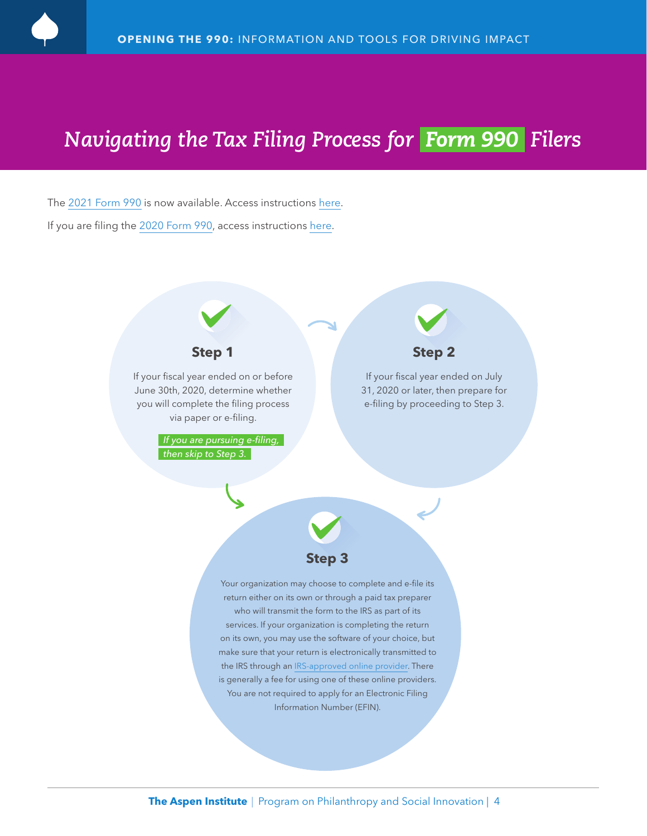## *Navigating the Tax Filing Process for Form 990 Filers*

The [2021 Form 990](https://www.irs.gov/pub/irs-pdf/f990.pdf) is now available. Access instructions [here](https://www.irs.gov/pub/irs-pdf/i990.pdf). If you are filing the [2020 Form 990](https://www.irs.gov/pub/irs-prior/f990--2020.pdf), access instructions [here.](https://www.irs.gov/pub/irs-prior/i990--2020.pdf)

### **Step 1**

If your fiscal year ended on or before June 30th, 2020, determine whether you will complete the filing process via paper or e-filing.

> *If you are pursuing e-filing, then skip to Step 3.*

### **Step 2**

If your fiscal year ended on July 31, 2020 or later, then prepare for e-filing by proceeding to Step 3.



Your organization may choose to complete and e-file its return either on its own or through a paid tax preparer who will transmit the form to the IRS as part of its services. If your organization is completing the return on its own, you may use the software of your choice, but make sure that your return is electronically transmitted to the IRS through an [IRS-approved online provider.](https://www.irs.gov/e-file-providers/exempt-organizations-mef-providers) There is generally a fee for using one of these online providers. You are not required to apply for an Electronic Filing Information Number (EFIN).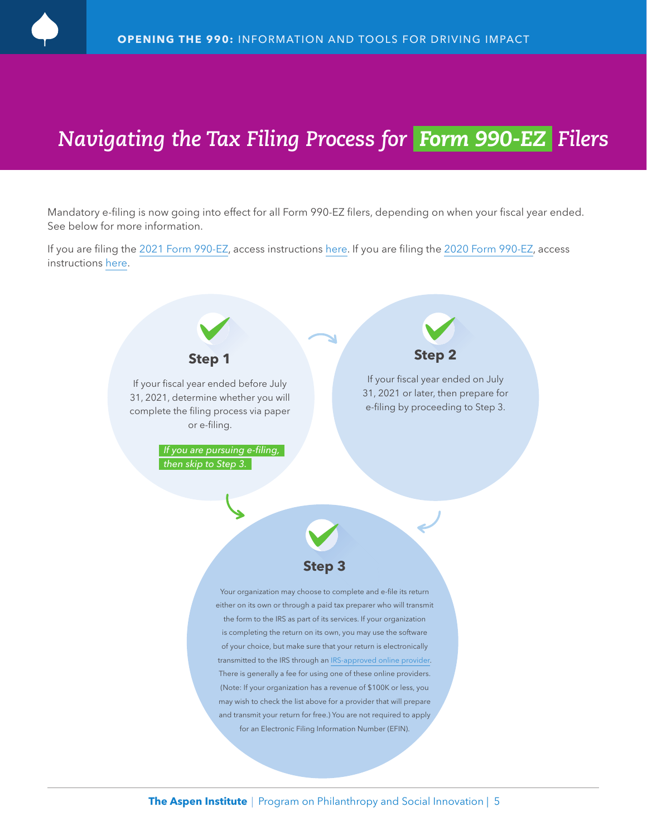

### *Navigating the Tax Filing Process for Form 990-EZ Filers*

Mandatory e-filing is now going into effect for all Form 990-EZ filers, depending on when your fiscal year ended. See below for more information.

If you are filing the [2021 Form 990-EZ,](https://www.irs.gov/pub/irs-pdf/f990ez.pdf) access instructions [here.](https://www.irs.gov/pub/irs-prior/i990ez--2021.pdf) If you are filing the [2020 Form 990-EZ,](https://www.irs.gov/pub/irs-prior/f990ez--2020.pdf) access instructions [here.](https://www.irs.gov/pub/irs-prior/i990ez--2020.pdf)

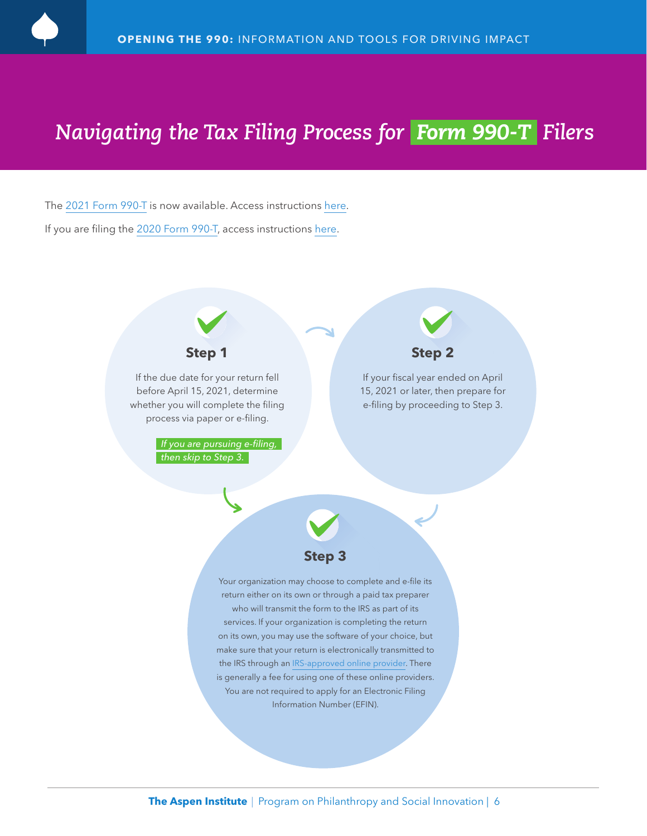

### *Navigating the Tax Filing Process for Form 990-T Filers*

The [2021 Form 990-T](https://www.irs.gov/pub/irs-pdf/f990t.pdf) is now available. Access instructions [here.](https://www.irs.gov/pub/irs-pdf/i990t.pdf) If you are filing the [2020 Form 990-T](https://www.irs.gov/pub/irs-prior/f990t--2020.pdf), access instructions [here.](https://www.irs.gov/pub/irs-prior/i990t--2020.pdf)

### **Step 1**

If the due date for your return fell before April 15, 2021, determine whether you will complete the filing process via paper or e-filing.

> *If you are pursuing e-filing, then skip to Step 3.*



#### **Step 2**

If your fiscal year ended on April 15, 2021 or later, then prepare for e-filing by proceeding to Step 3.



Your organization may choose to complete and e-file its return either on its own or through a paid tax preparer who will transmit the form to the IRS as part of its services. If your organization is completing the return on its own, you may use the software of your choice, but make sure that your return is electronically transmitted to the IRS through an [IRS-approved online provider.](https://www.irs.gov/e-file-providers/exempt-organizations-mef-providers) There is generally a fee for using one of these online providers. You are not required to apply for an Electronic Filing Information Number (EFIN).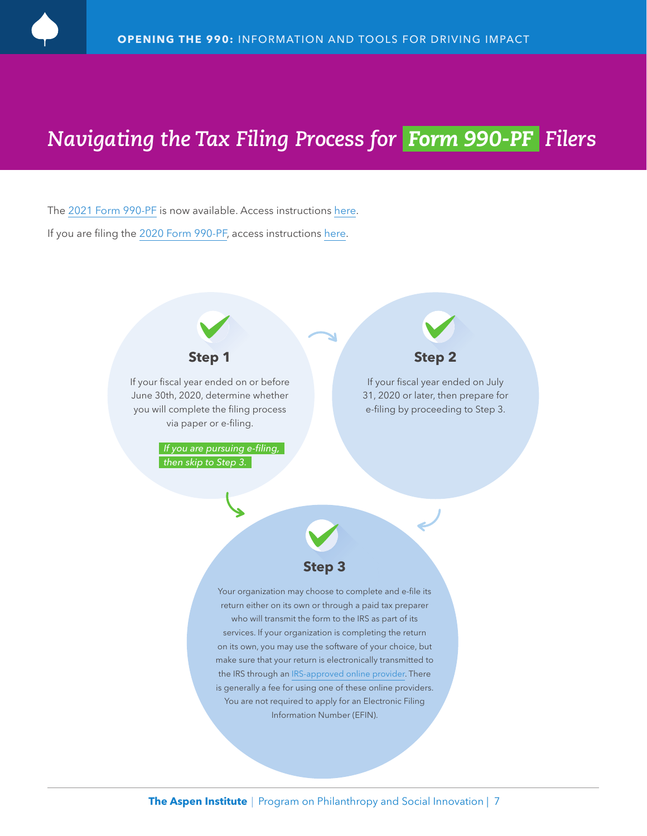

### *Navigating the Tax Filing Process for Form 990-PF Filers*

The [2021 Form 990-PF](https://www.irs.gov/pub/irs-pdf/f990pf.pdf) is now available. Access instructions [here](https://www.irs.gov/pub/irs-pdf/i990pf.pdf). If you are filing the [2020 Form 990-PF,](https://www.irs.gov/pub/irs-prior/f990pf--2020.pdf) access instructions [here](https://www.irs.gov/pub/irs-prior/i990pf--2020.pdf).

### **Step 1**

If your fiscal year ended on or before June 30th, 2020, determine whether you will complete the filing process via paper or e-filing.

> *If you are pursuing e-filing, then skip to Step 3.*

# **Step 2**

If your fiscal year ended on July 31, 2020 or later, then prepare for e-filing by proceeding to Step 3.



Your organization may choose to complete and e-file its return either on its own or through a paid tax preparer who will transmit the form to the IRS as part of its services. If your organization is completing the return on its own, you may use the software of your choice, but make sure that your return is electronically transmitted to the IRS through an [IRS-approved online provider](https://www.irs.gov/e-file-providers/exempt-organizations-mef-providers). There is generally a fee for using one of these online providers. You are not required to apply for an Electronic Filing Information Number (EFIN).